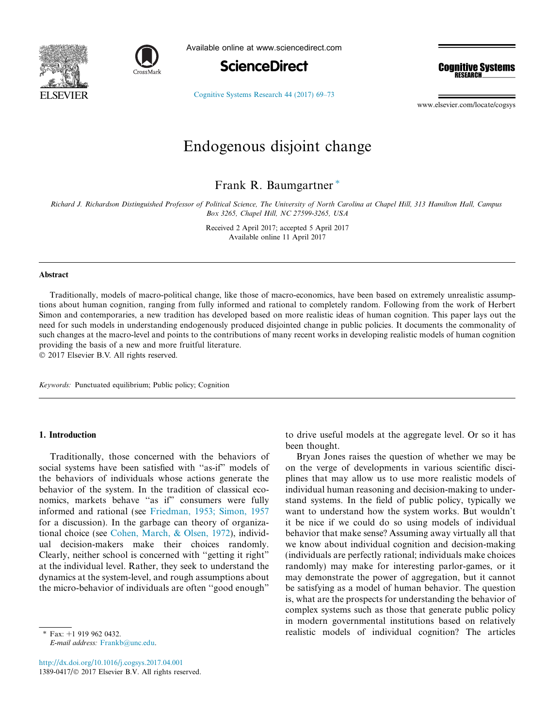



Available online at www.sciencedirect.com



**Cognitive Systems RESEARCH** 

[Cognitive Systems Research 44 \(2017\) 69–73](http://dx.doi.org/10.1016/j.cogsys.2017.04.001)

www.elsevier.com/locate/cogsys

# Endogenous disjoint change

Frank R. Baumgartner<sup>\*</sup>

Richard J. Richardson Distinguished Professor of Political Science, The University of North Carolina at Chapel Hill, 313 Hamilton Hall, Campus Box 3265, Chapel Hill, NC 27599-3265, USA

> Received 2 April 2017; accepted 5 April 2017 Available online 11 April 2017

#### Abstract

Traditionally, models of macro-political change, like those of macro-economics, have been based on extremely unrealistic assumptions about human cognition, ranging from fully informed and rational to completely random. Following from the work of Herbert Simon and contemporaries, a new tradition has developed based on more realistic ideas of human cognition. This paper lays out the need for such models in understanding endogenously produced disjointed change in public policies. It documents the commonality of such changes at the macro-level and points to the contributions of many recent works in developing realistic models of human cognition providing the basis of a new and more fruitful literature. 2017 Elsevier B.V. All rights reserved.

Keywords: Punctuated equilibrium; Public policy; Cognition

## 1. Introduction

Traditionally, those concerned with the behaviors of social systems have been satisfied with ''as-if" models of the behaviors of individuals whose actions generate the behavior of the system. In the tradition of classical economics, markets behave ''as if" consumers were fully informed and rational (see [Friedman, 1953; Simon, 1957](#page-4-0) for a discussion). In the garbage can theory of organizational choice (see [Cohen, March, & Olsen, 1972](#page-4-0)), individual decision-makers make their choices randomly. Clearly, neither school is concerned with ''getting it right" at the individual level. Rather, they seek to understand the dynamics at the system-level, and rough assumptions about the micro-behavior of individuals are often ''good enough"

E-mail address: [Frankb@unc.edu.](mailto:Frankb@unc.edu)

<http://dx.doi.org/10.1016/j.cogsys.2017.04.001> 1389-0417/ $\odot$  2017 Elsevier B.V. All rights reserved. to drive useful models at the aggregate level. Or so it has been thought.

Bryan Jones raises the question of whether we may be on the verge of developments in various scientific disciplines that may allow us to use more realistic models of individual human reasoning and decision-making to understand systems. In the field of public policy, typically we want to understand how the system works. But wouldn't it be nice if we could do so using models of individual behavior that make sense? Assuming away virtually all that we know about individual cognition and decision-making (individuals are perfectly rational; individuals make choices randomly) may make for interesting parlor-games, or it may demonstrate the power of aggregation, but it cannot be satisfying as a model of human behavior. The question is, what are the prospects for understanding the behavior of complex systems such as those that generate public policy in modern governmental institutions based on relatively realistic models of individual cognition? The articles

<sup>⇑</sup> Fax: +1 919 962 0432.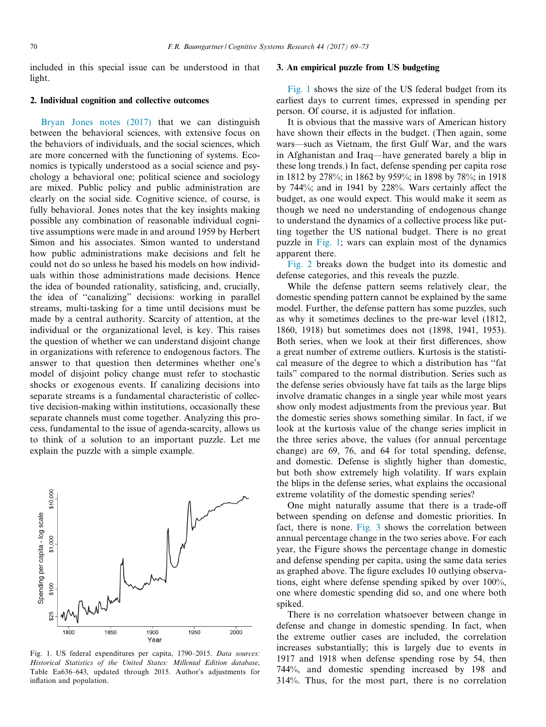included in this special issue can be understood in that light.

## 2. Individual cognition and collective outcomes

[Bryan Jones notes \(2017\)](#page-4-0) that we can distinguish between the behavioral sciences, with extensive focus on the behaviors of individuals, and the social sciences, which are more concerned with the functioning of systems. Economics is typically understood as a social science and psychology a behavioral one; political science and sociology are mixed. Public policy and public administration are clearly on the social side. Cognitive science, of course, is fully behavioral. Jones notes that the key insights making possible any combination of reasonable individual cognitive assumptions were made in and around 1959 by Herbert Simon and his associates. Simon wanted to understand how public administrations make decisions and felt he could not do so unless he based his models on how individuals within those administrations made decisions. Hence the idea of bounded rationality, satisficing, and, crucially, the idea of ''canalizing" decisions: working in parallel streams, multi-tasking for a time until decisions must be made by a central authority. Scarcity of attention, at the individual or the organizational level, is key. This raises the question of whether we can understand disjoint change in organizations with reference to endogenous factors. The answer to that question then determines whether one's model of disjoint policy change must refer to stochastic shocks or exogenous events. If canalizing decisions into separate streams is a fundamental characteristic of collective decision-making within institutions, occasionally these separate channels must come together. Analyzing this process, fundamental to the issue of agenda-scarcity, allows us to think of a solution to an important puzzle. Let me explain the puzzle with a simple example.



Fig. 1. US federal expenditures per capita, 1790–2015. Data sources: Historical Statistics of the United States: Millenial Edition database, Table Ea636–643, updated through 2015. Author's adjustments for inflation and population.

## 3. An empirical puzzle from US budgeting

Fig. 1 shows the size of the US federal budget from its earliest days to current times, expressed in spending per person. Of course, it is adjusted for inflation.

It is obvious that the massive wars of American history have shown their effects in the budget. (Then again, some wars—such as Vietnam, the first Gulf War, and the wars in Afghanistan and Iraq—have generated barely a blip in these long trends.) In fact, defense spending per capita rose in 1812 by 278%; in 1862 by 959%; in 1898 by 78%; in 1918 by 744%; and in 1941 by 228%. Wars certainly affect the budget, as one would expect. This would make it seem as though we need no understanding of endogenous change to understand the dynamics of a collective process like putting together the US national budget. There is no great puzzle in Fig. 1; wars can explain most of the dynamics apparent there.

[Fig. 2](#page-2-0) breaks down the budget into its domestic and defense categories, and this reveals the puzzle.

While the defense pattern seems relatively clear, the domestic spending pattern cannot be explained by the same model. Further, the defense pattern has some puzzles, such as why it sometimes declines to the pre-war level (1812, 1860, 1918) but sometimes does not (1898, 1941, 1953). Both series, when we look at their first differences, show a great number of extreme outliers. Kurtosis is the statistical measure of the degree to which a distribution has ''fat tails" compared to the normal distribution. Series such as the defense series obviously have fat tails as the large blips involve dramatic changes in a single year while most years show only modest adjustments from the previous year. But the domestic series shows something similar. In fact, if we look at the kurtosis value of the change series implicit in the three series above, the values (for annual percentage change) are 69, 76, and 64 for total spending, defense, and domestic. Defense is slightly higher than domestic, but both show extremely high volatility. If wars explain the blips in the defense series, what explains the occasional extreme volatility of the domestic spending series?

One might naturally assume that there is a trade-off between spending on defense and domestic priorities. In fact, there is none. [Fig. 3](#page-2-0) shows the correlation between annual percentage change in the two series above. For each year, the Figure shows the percentage change in domestic and defense spending per capita, using the same data series as graphed above. The figure excludes 10 outlying observations, eight where defense spending spiked by over 100%, one where domestic spending did so, and one where both spiked.

There is no correlation whatsoever between change in defense and change in domestic spending. In fact, when the extreme outlier cases are included, the correlation increases substantially; this is largely due to events in 1917 and 1918 when defense spending rose by 54, then 744%, and domestic spending increased by 198 and 314%. Thus, for the most part, there is no correlation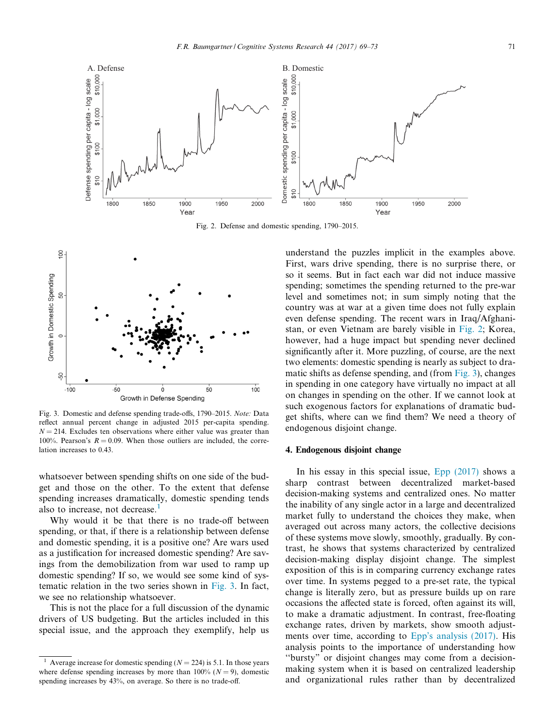<span id="page-2-0"></span>

Fig. 2. Defense and domestic spending, 1790–2015.



Fig. 3. Domestic and defense spending trade-offs, 1790–2015. Note: Data reflect annual percent change in adjusted 2015 per-capita spending.  $N = 214$ . Excludes ten observations where either value was greater than 100%. Pearson's  $R = 0.09$ . When those outliers are included, the correlation increases to 0.43.

whatsoever between spending shifts on one side of the budget and those on the other. To the extent that defense spending increases dramatically, domestic spending tends also to increase, not decrease.<sup>1</sup>

Why would it be that there is no trade-off between spending, or that, if there is a relationship between defense and domestic spending, it is a positive one? Are wars used as a justification for increased domestic spending? Are savings from the demobilization from war used to ramp up domestic spending? If so, we would see some kind of systematic relation in the two series shown in Fig. 3. In fact, we see no relationship whatsoever.

This is not the place for a full discussion of the dynamic drivers of US budgeting. But the articles included in this special issue, and the approach they exemplify, help us understand the puzzles implicit in the examples above. First, wars drive spending, there is no surprise there, or so it seems. But in fact each war did not induce massive spending; sometimes the spending returned to the pre-war level and sometimes not; in sum simply noting that the country was at war at a given time does not fully explain even defense spending. The recent wars in Iraq/Afghanistan, or even Vietnam are barely visible in Fig. 2; Korea, however, had a huge impact but spending never declined significantly after it. More puzzling, of course, are the next two elements: domestic spending is nearly as subject to dramatic shifts as defense spending, and (from Fig. 3), changes in spending in one category have virtually no impact at all on changes in spending on the other. If we cannot look at such exogenous factors for explanations of dramatic budget shifts, where can we find them? We need a theory of endogenous disjoint change.

## 4. Endogenous disjoint change

In his essay in this special issue, Epp  $(2017)$  shows a sharp contrast between decentralized market-based decision-making systems and centralized ones. No matter the inability of any single actor in a large and decentralized market fully to understand the choices they make, when averaged out across many actors, the collective decisions of these systems move slowly, smoothly, gradually. By contrast, he shows that systems characterized by centralized decision-making display disjoint change. The simplest exposition of this is in comparing currency exchange rates over time. In systems pegged to a pre-set rate, the typical change is literally zero, but as pressure builds up on rare occasions the affected state is forced, often against its will, to make a dramatic adjustment. In contrast, free-floating exchange rates, driven by markets, show smooth adjustments over time, according to [Epp's analysis \(2017\).](#page-4-0) His analysis points to the importance of understanding how ''bursty" or disjoint changes may come from a decisionmaking system when it is based on centralized leadership and organizational rules rather than by decentralized

<sup>&</sup>lt;sup>1</sup> Average increase for domestic spending ( $N = 224$ ) is 5.1. In those years where defense spending increases by more than  $100\%$  ( $N = 9$ ), domestic spending increases by 43%, on average. So there is no trade-off.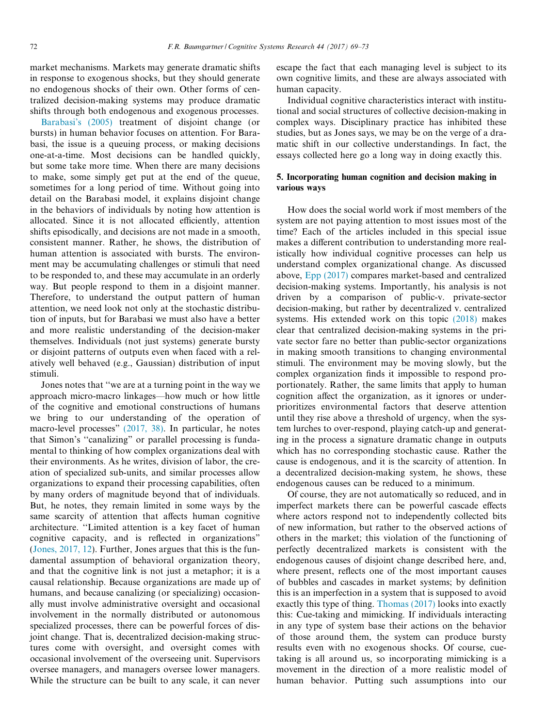market mechanisms. Markets may generate dramatic shifts in response to exogenous shocks, but they should generate no endogenous shocks of their own. Other forms of centralized decision-making systems may produce dramatic shifts through both endogenous and exogenous processes.

[Barabasi's \(2005\)](#page-4-0) treatment of disjoint change (or bursts) in human behavior focuses on attention. For Barabasi, the issue is a queuing process, or making decisions one-at-a-time. Most decisions can be handled quickly, but some take more time. When there are many decisions to make, some simply get put at the end of the queue, sometimes for a long period of time. Without going into detail on the Barabasi model, it explains disjoint change in the behaviors of individuals by noting how attention is allocated. Since it is not allocated efficiently, attention shifts episodically, and decisions are not made in a smooth, consistent manner. Rather, he shows, the distribution of human attention is associated with bursts. The environment may be accumulating challenges or stimuli that need to be responded to, and these may accumulate in an orderly way. But people respond to them in a disjoint manner. Therefore, to understand the output pattern of human attention, we need look not only at the stochastic distribution of inputs, but for Barabasi we must also have a better and more realistic understanding of the decision-maker themselves. Individuals (not just systems) generate bursty or disjoint patterns of outputs even when faced with a relatively well behaved (e.g., Gaussian) distribution of input stimuli.

Jones notes that ''we are at a turning point in the way we approach micro-macro linkages—how much or how little of the cognitive and emotional constructions of humans we bring to our understanding of the operation of macro-level processes" [\(2017, 38\)](#page-4-0). In particular, he notes that Simon's ''canalizing" or parallel processing is fundamental to thinking of how complex organizations deal with their environments. As he writes, division of labor, the creation of specialized sub-units, and similar processes allow organizations to expand their processing capabilities, often by many orders of magnitude beyond that of individuals. But, he notes, they remain limited in some ways by the same scarcity of attention that affects human cognitive architecture. ''Limited attention is a key facet of human cognitive capacity, and is reflected in organizations" [\(Jones, 2017, 12](#page-4-0)). Further, Jones argues that this is the fundamental assumption of behavioral organization theory, and that the cognitive link is not just a metaphor; it is a causal relationship. Because organizations are made up of humans, and because canalizing (or specializing) occasionally must involve administrative oversight and occasional involvement in the normally distributed or autonomous specialized processes, there can be powerful forces of disjoint change. That is, decentralized decision-making structures come with oversight, and oversight comes with occasional involvement of the overseeing unit. Supervisors oversee managers, and managers oversee lower managers. While the structure can be built to any scale, it can never escape the fact that each managing level is subject to its own cognitive limits, and these are always associated with human capacity.

Individual cognitive characteristics interact with institutional and social structures of collective decision-making in complex ways. Disciplinary practice has inhibited these studies, but as Jones says, we may be on the verge of a dramatic shift in our collective understandings. In fact, the essays collected here go a long way in doing exactly this.

# 5. Incorporating human cognition and decision making in various ways

How does the social world work if most members of the system are not paying attention to most issues most of the time? Each of the articles included in this special issue makes a different contribution to understanding more realistically how individual cognitive processes can help us understand complex organizational change. As discussed above, [Epp \(2017\)](#page-4-0) compares market-based and centralized decision-making systems. Importantly, his analysis is not driven by a comparison of public-v. private-sector decision-making, but rather by decentralized v. centralized systems. His extended work on this topic [\(2018\)](#page-4-0) makes clear that centralized decision-making systems in the private sector fare no better than public-sector organizations in making smooth transitions to changing environmental stimuli. The environment may be moving slowly, but the complex organization finds it impossible to respond proportionately. Rather, the same limits that apply to human cognition affect the organization, as it ignores or underprioritizes environmental factors that deserve attention until they rise above a threshold of urgency, when the system lurches to over-respond, playing catch-up and generating in the process a signature dramatic change in outputs which has no corresponding stochastic cause. Rather the cause is endogenous, and it is the scarcity of attention. In a decentralized decision-making system, he shows, these endogenous causes can be reduced to a minimum.

Of course, they are not automatically so reduced, and in imperfect markets there can be powerful cascade effects where actors respond not to independently collected bits of new information, but rather to the observed actions of others in the market; this violation of the functioning of perfectly decentralized markets is consistent with the endogenous causes of disjoint change described here, and, where present, reflects one of the most important causes of bubbles and cascades in market systems; by definition this is an imperfection in a system that is supposed to avoid exactly this type of thing. [Thomas \(2017\)](#page-4-0) looks into exactly this: Cue-taking and mimicking. If individuals interacting in any type of system base their actions on the behavior of those around them, the system can produce bursty results even with no exogenous shocks. Of course, cuetaking is all around us, so incorporating mimicking is a movement in the direction of a more realistic model of human behavior. Putting such assumptions into our